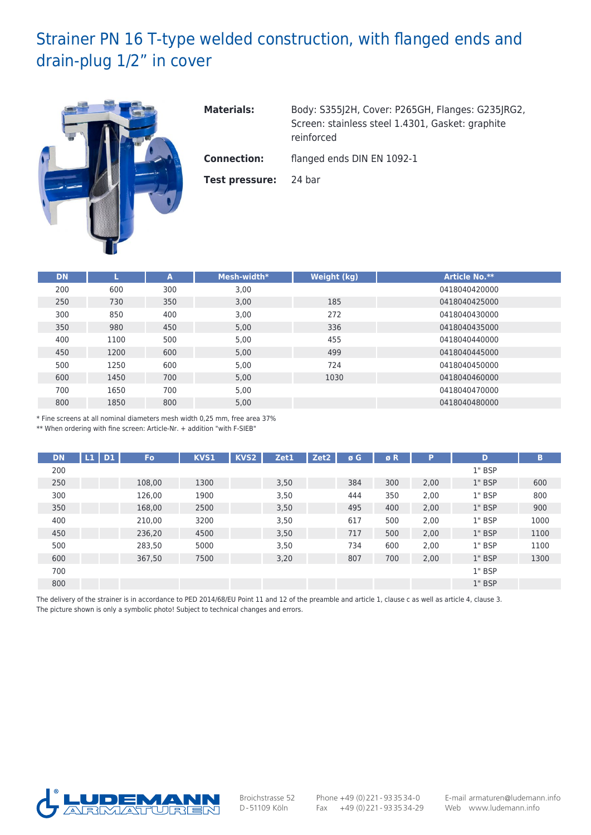## Strainer PN 16 T-type welded construction, with flanged ends and drain-plug 1/2" in cover



**Materials:** Body: S355J2H, Cover: P265GH, Flanges: G235JRG2, Screen: stainless steel 1.4301, Gasket: graphite reinforced

**Connection:** flanged ends DIN EN 1092-1

**Test pressure:** 24 bar

| <b>DN</b> |      | A   | Mesh-width* | Weight (kg) | <b>Article No.**</b> |
|-----------|------|-----|-------------|-------------|----------------------|
| 200       | 600  | 300 | 3,00        |             | 0418040420000        |
| 250       | 730  | 350 | 3,00        | 185         | 0418040425000        |
| 300       | 850  | 400 | 3,00        | 272         | 0418040430000        |
| 350       | 980  | 450 | 5,00        | 336         | 0418040435000        |
| 400       | 1100 | 500 | 5,00        | 455         | 0418040440000        |
| 450       | 1200 | 600 | 5,00        | 499         | 0418040445000        |
| 500       | 1250 | 600 | 5,00        | 724         | 0418040450000        |
| 600       | 1450 | 700 | 5,00        | 1030        | 0418040460000        |
| 700       | 1650 | 700 | 5,00        |             | 0418040470000        |
| 800       | 1850 | 800 | 5,00        |             | 0418040480000        |

\* Fine screens at all nominal diameters mesh width 0,25 mm, free area 37%

\*\* When ordering with fine screen: Article-Nr. + addition "with F-SIEB"

| <b>DN</b> | L1<br><b>D1</b> | Fo     | <b>KVS1</b> | KVS <sub>2</sub> | Zet1 | Zet <sub>2</sub> | ø G | øR  | Þ    | D        | B    |
|-----------|-----------------|--------|-------------|------------------|------|------------------|-----|-----|------|----------|------|
| 200       |                 |        |             |                  |      |                  |     |     |      | 1" BSP   |      |
| 250       |                 | 108,00 | 1300        |                  | 3,50 |                  | 384 | 300 | 2,00 | $1"$ BSP | 600  |
| 300       |                 | 126,00 | 1900        |                  | 3,50 |                  | 444 | 350 | 2,00 | 1" BSP   | 800  |
| 350       |                 | 168,00 | 2500        |                  | 3,50 |                  | 495 | 400 | 2,00 | 1" BSP   | 900  |
| 400       |                 | 210,00 | 3200        |                  | 3,50 |                  | 617 | 500 | 2,00 | 1" BSP   | 1000 |
| 450       |                 | 236,20 | 4500        |                  | 3,50 |                  | 717 | 500 | 2,00 | 1" BSP   | 1100 |
| 500       |                 | 283,50 | 5000        |                  | 3,50 |                  | 734 | 600 | 2,00 | 1" BSP   | 1100 |
| 600       |                 | 367,50 | 7500        |                  | 3,20 |                  | 807 | 700 | 2,00 | 1" BSP   | 1300 |
| 700       |                 |        |             |                  |      |                  |     |     |      | 1" BSP   |      |
| 800       |                 |        |             |                  |      |                  |     |     |      | $1"$ BSP |      |

The delivery of the strainer is in accordance to PED 2014/68/EU Point 11 and 12 of the preamble and article 1, clause c as well as article 4, clause 3. The picture shown is only a symbolic photo! Subject to technical changes and errors.



Broichstrasse 52 D-51109 Köln

Phone +49 (0)221- 933534-0 Fax  $+49(0)221 - 933534-29$